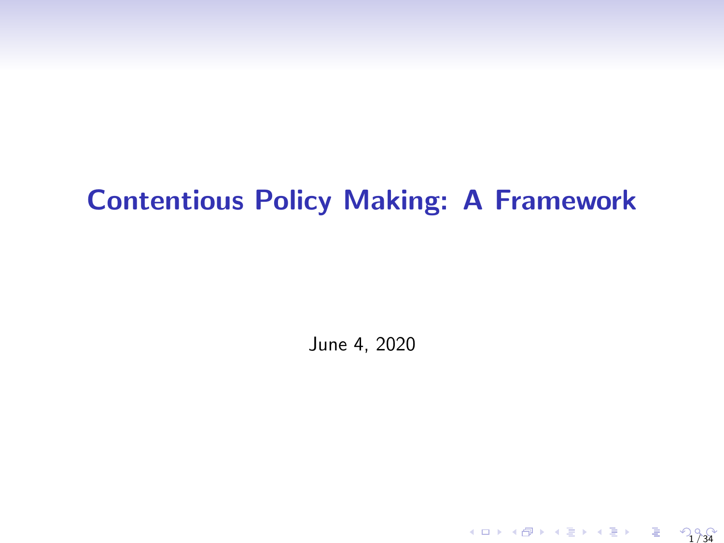# Contentious Policy Making: A Framework

June 4, 2020

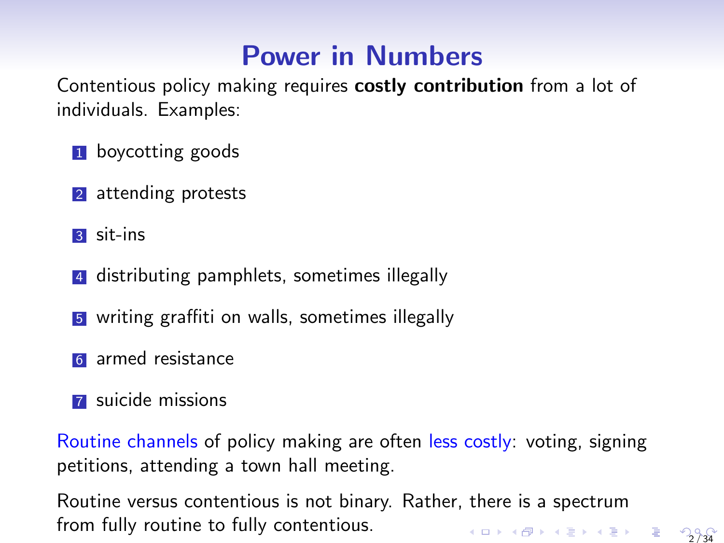# Power in Numbers

Contentious policy making requires costly contribution from a lot of individuals. Examples:

- **1** boycotting goods
- 2 attending protests
- <sup>3</sup> sit-ins
- 4 distributing pamphlets, sometimes illegally
- <sup>5</sup> writing graffiti on walls, sometimes illegally
- **6** armed resistance
- **7** suicide missions

Routine channels of policy making are often less costly: voting, signing petitions, attending a town hall meeting.

Routine versus contentious is not binary. Rather, there is a spectrum from fully routine to fully contentious. 2 / 34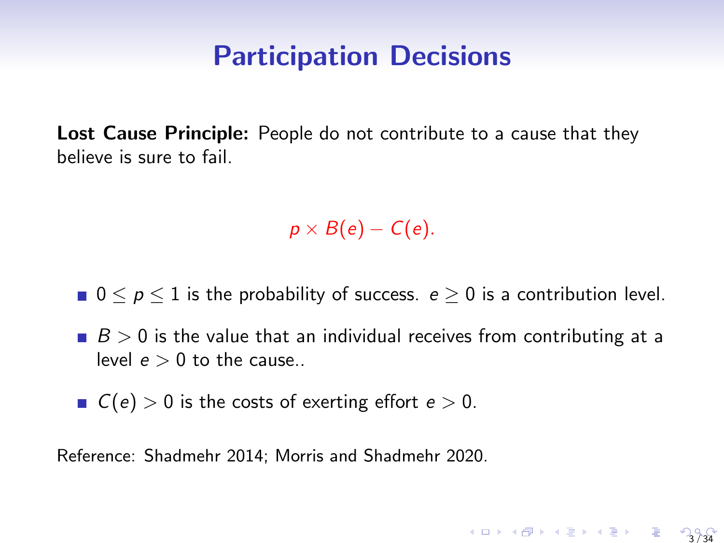#### Participation Decisions

Lost Cause Principle: People do not contribute to a cause that they believe is sure to fail.

 $p \times B(e) - C(e)$ .

- $\blacksquare$  0  $\leq$  p  $\leq$  1 is the probability of success. e  $\geq$  0 is a contribution level.
- $B > 0$  is the value that an individual receives from contributing at a level  $e > 0$  to the cause..

3 / 34

 $C(e) > 0$  is the costs of exerting effort  $e > 0$ .

Reference: Shadmehr 2014; Morris and Shadmehr 2020.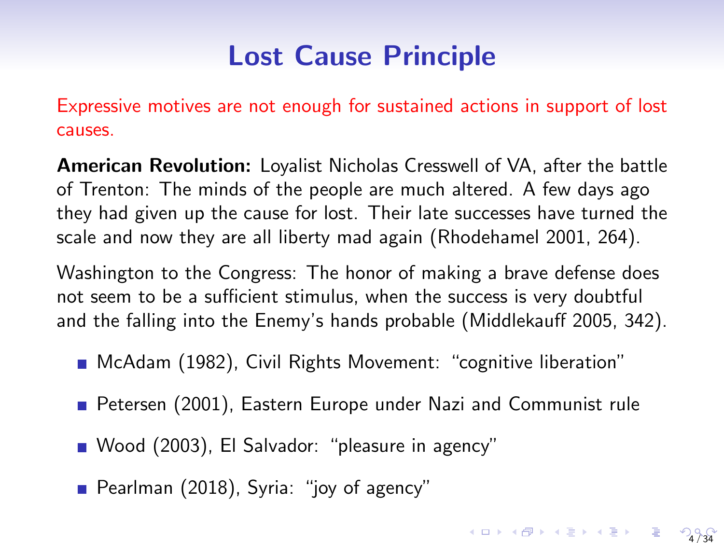# Lost Cause Principle

Expressive motives are not enough for sustained actions in support of lost causes.

American Revolution: Loyalist Nicholas Cresswell of VA, after the battle of Trenton: The minds of the people are much altered. A few days ago they had given up the cause for lost. Their late successes have turned the scale and now they are all liberty mad again (Rhodehamel 2001, 264).

Washington to the Congress: The honor of making a brave defense does not seem to be a sufficient stimulus, when the success is very doubtful and the falling into the Enemy's hands probable (Middlekauff 2005, 342).

- McAdam (1982), Civil Rights Movement: "cognitive liberation"
- Petersen (2001), Eastern Europe under Nazi and Communist rule

- Wood (2003), El Salvador: "pleasure in agency"
- Pearlman (2018), Syria: "joy of agency"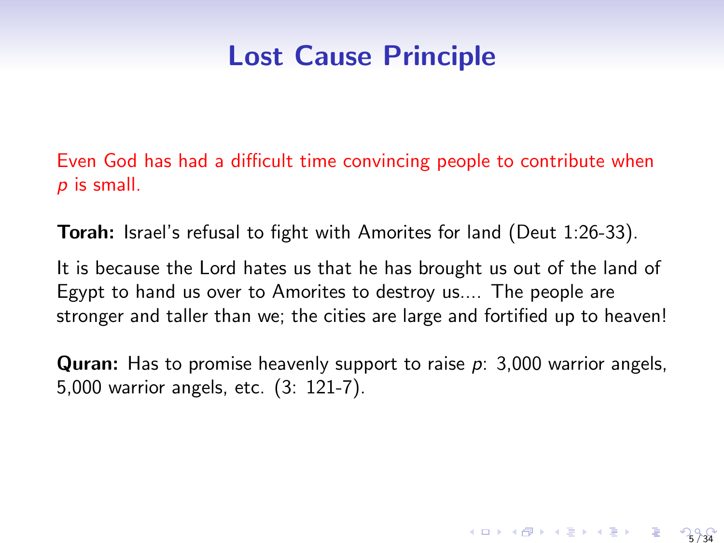## Lost Cause Principle

Even God has had a difficult time convincing people to contribute when  $p$  is small.

Torah: Israel's refusal to fight with Amorites for land (Deut 1:26-33).

It is because the Lord hates us that he has brought us out of the land of Egypt to hand us over to Amorites to destroy us.... The people are stronger and taller than we; the cities are large and fortified up to heaven!

**Quran:** Has to promise heavenly support to raise  $p: 3,000$  warrior angels, 5,000 warrior angels, etc. (3: 121-7).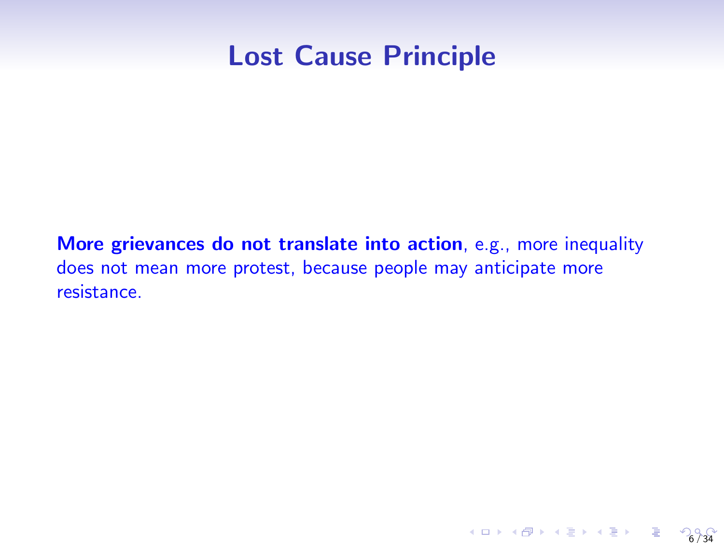### Lost Cause Principle

More grievances do not translate into action, e.g., more inequality does not mean more protest, because people may anticipate more resistance.

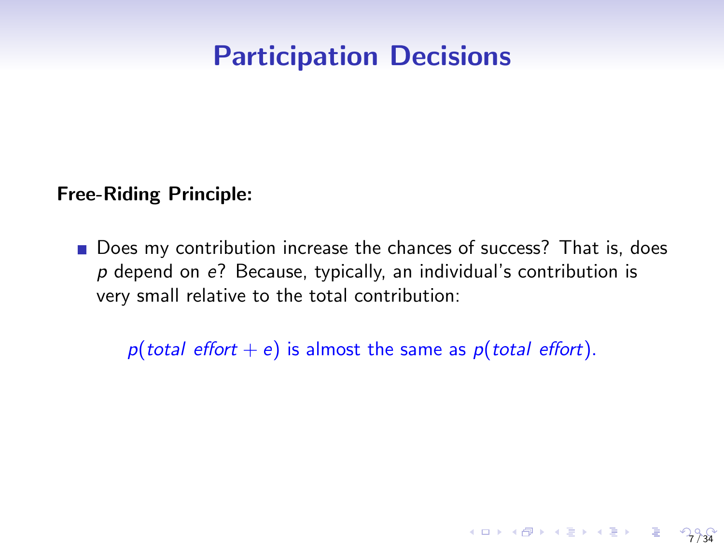## Participation Decisions

#### Free-Riding Principle:

Does my contribution increase the chances of success? That is, does  $p$  depend on  $e$ ? Because, typically, an individual's contribution is very small relative to the total contribution:

 $p(total \text{ effort} + e)$  is almost the same as  $p(total \text{ effort})$ .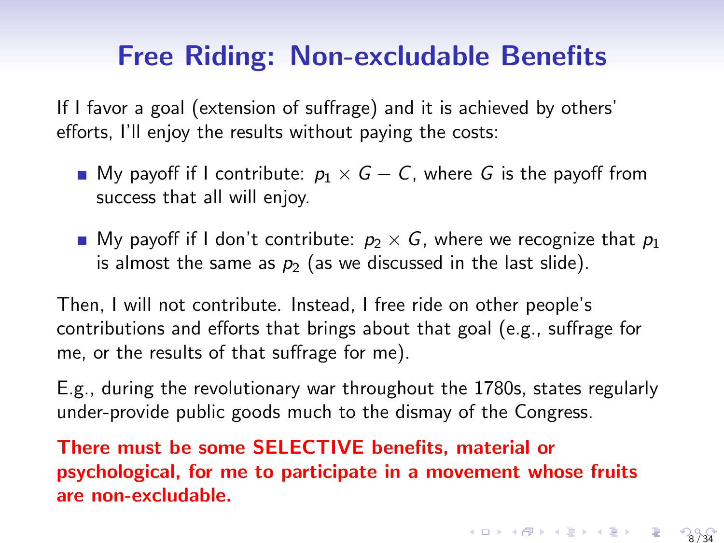### Free Riding: Non-excludable Benefits

If I favor a goal (extension of suffrage) and it is achieved by others' efforts, I'll enjoy the results without paying the costs:

- My payoff if I contribute:  $p_1 \times G C$ , where G is the payoff from success that all will enjoy.
- My payoff if I don't contribute:  $p_2 \times G$ , where we recognize that  $p_1$ is almost the same as  $p_2$  (as we discussed in the last slide).

Then, I will not contribute. Instead, I free ride on other people's contributions and efforts that brings about that goal (e.g., suffrage for me, or the results of that suffrage for me).

E.g., during the revolutionary war throughout the 1780s, states regularly under-provide public goods much to the dismay of the Congress.

There must be some SELECTIVE benefits, material or psychological, for me to participate in a movement whose fruits are non-excludable.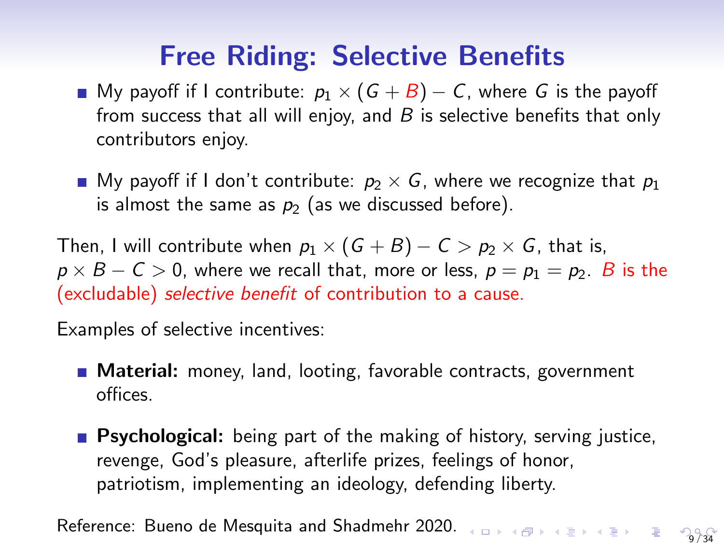# Free Riding: Selective Benefits

- My payoff if I contribute:  $p_1 \times (G + B) C$ , where G is the payoff from success that all will enjoy, and  $B$  is selective benefits that only contributors enjoy.
- My payoff if I don't contribute:  $p_2 \times G$ , where we recognize that  $p_1$ is almost the same as  $p_2$  (as we discussed before).

Then, I will contribute when  $p_1 \times (G + B) - C > p_2 \times G$ , that is,  $p \times B - C > 0$ , where we recall that, more or less,  $p = p_1 = p_2$ . B is the (excludable) selective benefit of contribution to a cause.

Examples of selective incentives:

- **Material:** money, land, looting, favorable contracts, government offices.
- **Psychological:** being part of the making of history, serving justice, revenge, God's pleasure, afterlife prizes, feelings of honor, patriotism, implementing an ideology, defending liberty.

Reference: Bueno de Mesquita and Shadmehr 2020. 9 / 34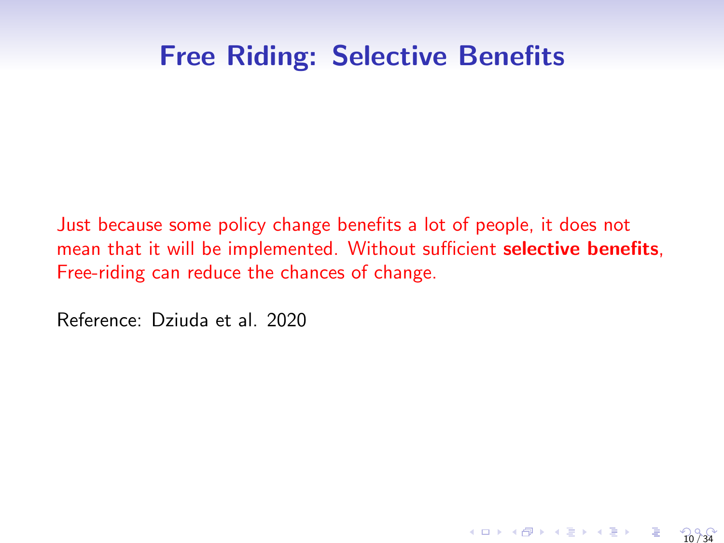#### Free Riding: Selective Benefits

Just because some policy change benefits a lot of people, it does not mean that it will be implemented. Without sufficient selective benefits, Free-riding can reduce the chances of change.

10 / 34

Reference: Dziuda et al. 2020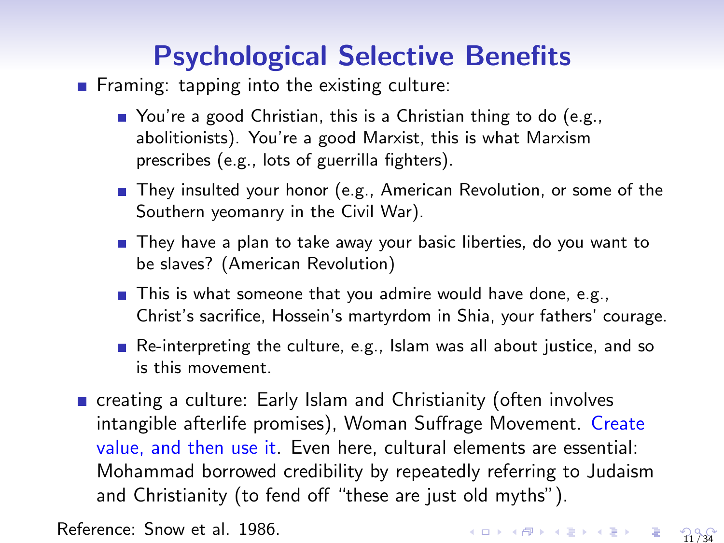# Psychological Selective Benefits

Framing: tapping into the existing culture:

- You're a good Christian, this is a Christian thing to do (e.g., abolitionists). You're a good Marxist, this is what Marxism prescribes (e.g., lots of guerrilla fighters).
- They insulted your honor (e.g., American Revolution, or some of the Southern yeomanry in the Civil War).
- They have a plan to take away your basic liberties, do you want to be slaves? (American Revolution)
- $\blacksquare$  This is what someone that you admire would have done, e.g., Christ's sacrifice, Hossein's martyrdom in Shia, your fathers' courage.
- Re-interpreting the culture, e.g., Islam was all about justice, and so is this movement.
- creating a culture: Early Islam and Christianity (often involves intangible afterlife promises), Woman Suffrage Movement. Create value, and then use it. Even here, cultural elements are essential: Mohammad borrowed credibility by repeatedly referring to Judaism and Christianity (to fend off "these are just old myths").

Reference: Snow et al. 1986.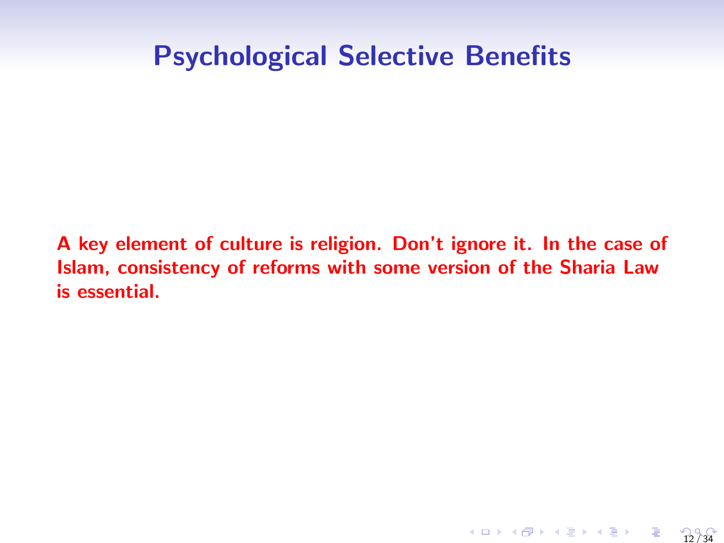### Psychological Selective Benefits

A key element of culture is religion. Don't ignore it. In the case of Islam, consistency of reforms with some version of the Sharia Law is essential.

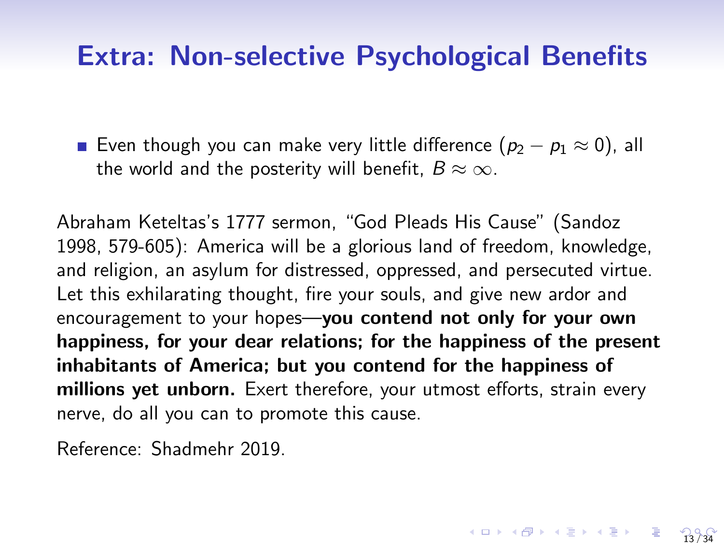#### Extra: Non-selective Psychological Benefits

■ Even though you can make very little difference  $(p_2 - p_1 \approx 0)$ , all the world and the posterity will benefit,  $B \approx \infty$ .

Abraham Keteltas's 1777 sermon, "God Pleads His Cause" (Sandoz 1998, 579-605): America will be a glorious land of freedom, knowledge, and religion, an asylum for distressed, oppressed, and persecuted virtue. Let this exhilarating thought, fire your souls, and give new ardor and encouragement to your hopes-you contend not only for your own happiness, for your dear relations; for the happiness of the present inhabitants of America; but you contend for the happiness of millions yet unborn. Exert therefore, your utmost efforts, strain every nerve, do all you can to promote this cause.

Reference: Shadmehr 2019.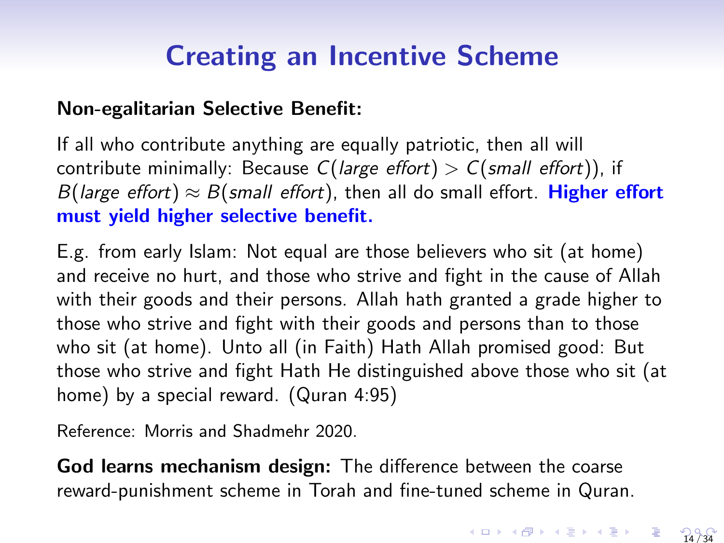# Creating an Incentive Scheme

#### Non-egalitarian Selective Benefit:

If all who contribute anything are equally patriotic, then all will contribute minimally: Because  $C(large\ effort) > C(small\ effort)$ ), if B(large effort)  $\approx$  B(small effort), then all do small effort. Higher effort must yield higher selective benefit.

E.g. from early Islam: Not equal are those believers who sit (at home) and receive no hurt, and those who strive and fight in the cause of Allah with their goods and their persons. Allah hath granted a grade higher to those who strive and fight with their goods and persons than to those who sit (at home). Unto all (in Faith) Hath Allah promised good: But those who strive and fight Hath He distinguished above those who sit (at home) by a special reward. (Quran 4:95)

Reference: Morris and Shadmehr 2020.

God learns mechanism design: The difference between the coarse reward-punishment scheme in Torah and fine-tuned scheme in Quran.

 $4 \Box + 4 \Box + 4 \Xi + 4 \Xi + 4 \Xi + \Xi + 24 \sqrt{34}$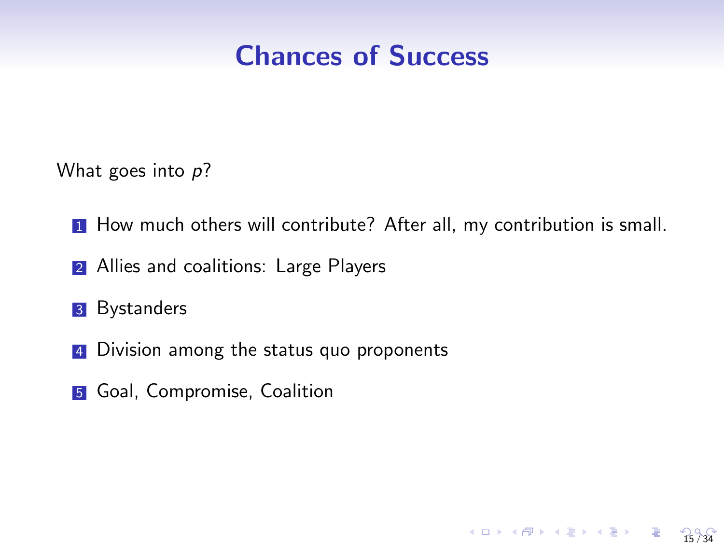#### Chances of Success

What goes into p?

**1** How much others will contribute? After all, my contribution is small.

- 2 Allies and coalitions: Large Players
- **3** Bystanders
- 4 Division among the status quo proponents
- **5** Goal, Compromise, Coalition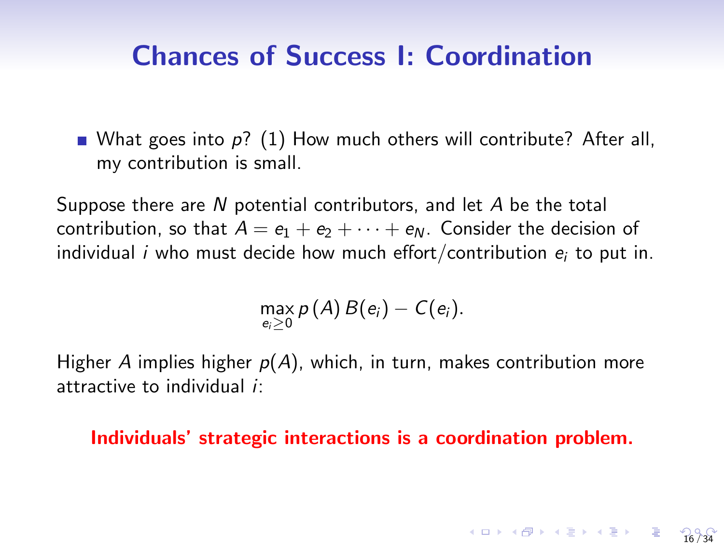#### Chances of Success I: Coordination

What goes into  $p$ ? (1) How much others will contribute? After all, my contribution is small.

Suppose there are N potential contributors, and let A be the total contribution, so that  $A = e_1 + e_2 + \cdots + e_N$ . Consider the decision of individual *i* who must decide how much effort/contribution  $e_i$  to put in.

$$
\max_{e_i\geq 0} p(A) B(e_i) - C(e_i).
$$

Higher A implies higher  $p(A)$ , which, in turn, makes contribution more attractive to individual i:

Individuals' strategic interactions is a coordination problem.

$$
4 \Box \rightarrow 4 \Box \rightarrow 4 \equiv 14 \equiv 13 \quad \equiv 16/34
$$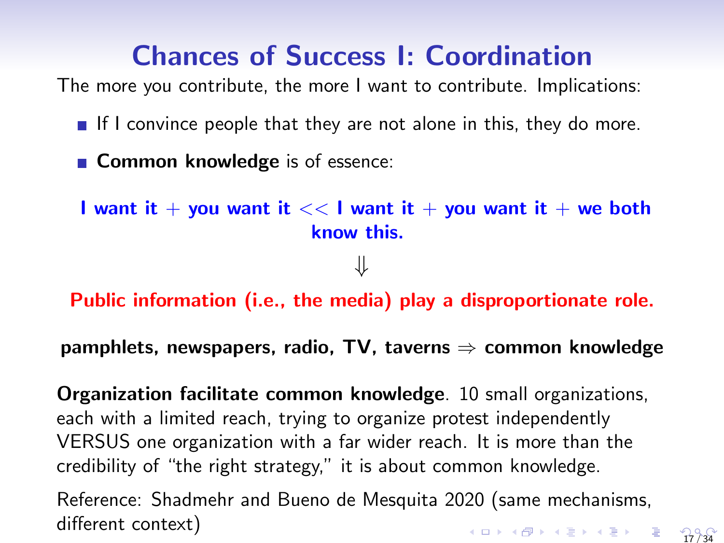# Chances of Success I: Coordination

The more you contribute, the more I want to contribute. Implications:

- If I convince people that they are not alone in this, they do more.
- **Common knowledge** is of essence:

I want it + you want it  $<<$  I want it + you want it + we both know this.

⇓

Public information (i.e., the media) play a disproportionate role.

pamphlets, newspapers, radio, TV, taverns  $\Rightarrow$  common knowledge

Organization facilitate common knowledge. 10 small organizations, each with a limited reach, trying to organize protest independently VERSUS one organization with a far wider reach. It is more than the credibility of "the right strategy," it is about common knowledge.

Reference: Shadmehr and Bueno de Mesquita 2020 (same mechanisms, different context) 17 / 34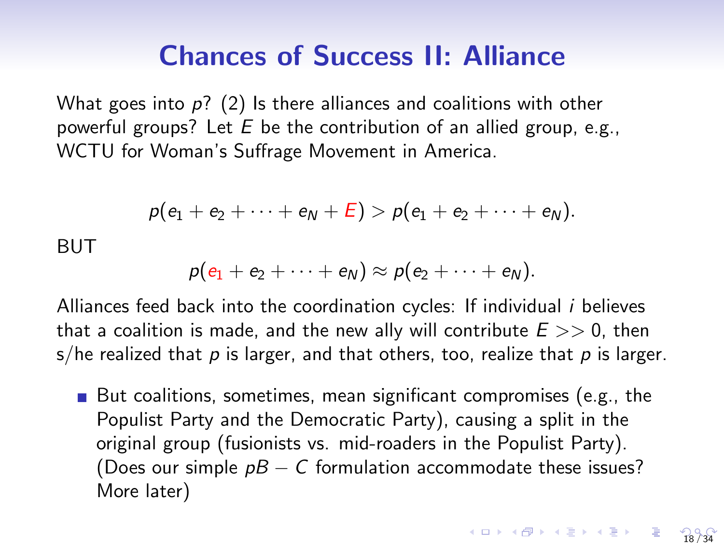#### Chances of Success II: Alliance

What goes into  $p$ ? (2) Is there alliances and coalitions with other powerful groups? Let  $E$  be the contribution of an allied group, e.g., WCTU for Woman's Suffrage Movement in America.

$$
p(e_1 + e_2 + \cdots + e_N + E) > p(e_1 + e_2 + \cdots + e_N).
$$

BUT

$$
p(e_1+e_2+\cdots+e_N)\approx p(e_2+\cdots+e_N).
$$

Alliances feed back into the coordination cycles: If individual i believes that a coalition is made, and the new ally will contribute  $E >> 0$ , then s/he realized that p is larger, and that others, too, realize that p is larger.

But coalitions, sometimes, mean significant compromises (e.g., the Populist Party and the Democratic Party), causing a split in the original group (fusionists vs. mid-roaders in the Populist Party). (Does our simple  $pB - C$  formulation accommodate these issues? More later)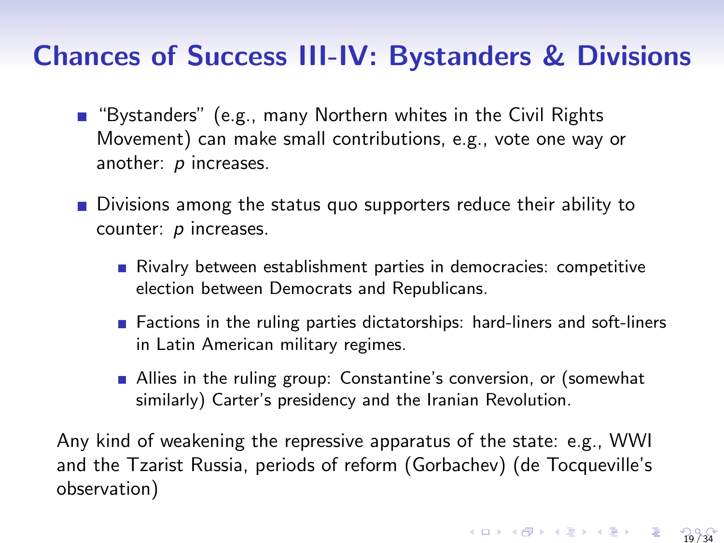#### Chances of Success III-IV: Bystanders & Divisions

- "Bystanders" (e.g., many Northern whites in the Civil Rights Movement) can make small contributions, e.g., vote one way or another: *p* increases.
- Divisions among the status quo supporters reduce their ability to counter: p increases.
	- Rivalry between establishment parties in democracies: competitive election between Democrats and Republicans.
	- Factions in the ruling parties dictatorships: hard-liners and soft-liners in Latin American military regimes.

19 / 34

**Allies in the ruling group: Constantine's conversion, or (somewhat** similarly) Carter's presidency and the Iranian Revolution.

Any kind of weakening the repressive apparatus of the state: e.g., WWI and the Tzarist Russia, periods of reform (Gorbachev) (de Tocqueville's observation)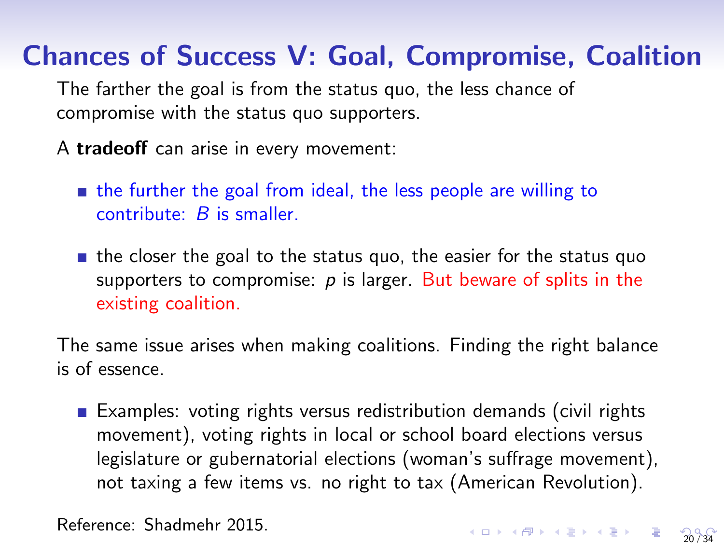# Chances of Success V: Goal, Compromise, Coalition

The farther the goal is from the status quo, the less chance of compromise with the status quo supporters.

A tradeoff can arise in every movement:

the further the goal from ideal, the less people are willing to contribute: B is smaller.

 $\blacksquare$  the closer the goal to the status quo, the easier for the status quo supporters to compromise:  $p$  is larger. But beware of splits in the existing coalition.

The same issue arises when making coalitions. Finding the right balance is of essence.

**Examples:** voting rights versus redistribution demands (civil rights movement), voting rights in local or school board elections versus legislature or gubernatorial elections (woman's suffrage movement), not taxing a few items vs. no right to tax (American Revolution).

Reference: Shadmehr 2015.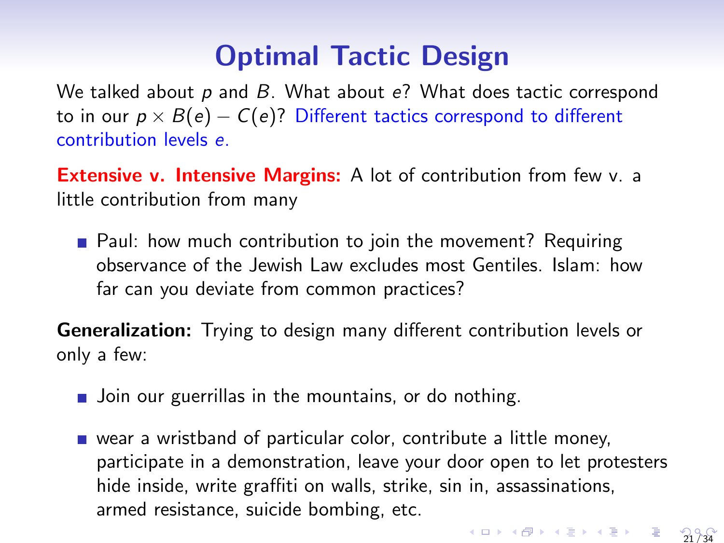# Optimal Tactic Design

We talked about  $p$  and  $B$ . What about  $e$ ? What does tactic correspond to in our  $p \times B(e) - C(e)$ ? Different tactics correspond to different contribution levels e.

**Extensive v. Intensive Margins:** A lot of contribution from few v. a little contribution from many

**Paul:** how much contribution to join the movement? Requiring observance of the Jewish Law excludes most Gentiles. Islam: how far can you deviate from common practices?

Generalization: Trying to design many different contribution levels or only a few:

- **Join our guerrillas in the mountains, or do nothing.**
- wear a wristband of particular color, contribute a little money, participate in a demonstration, leave your door open to let protesters hide inside, write graffiti on walls, strike, sin in, assassinations, armed resistance, suicide bombing, etc. 21 / 34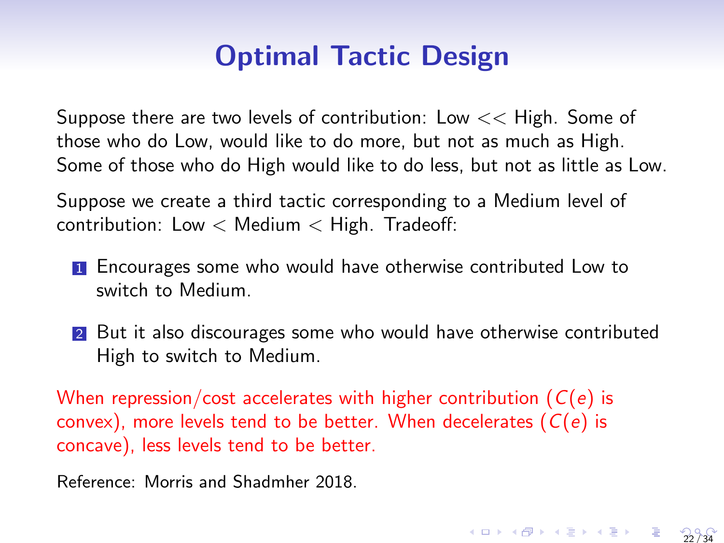# Optimal Tactic Design

Suppose there are two levels of contribution: Low  $<<$  High. Some of those who do Low, would like to do more, but not as much as High. Some of those who do High would like to do less, but not as little as Low.

Suppose we create a third tactic corresponding to a Medium level of contribution: Low  $<$  Medium  $<$  High. Tradeoff:

- **1** Encourages some who would have otherwise contributed Low to switch to Medium.
- 2 But it also discourages some who would have otherwise contributed High to switch to Medium.

22 / 34

When repression/cost accelerates with higher contribution  $(C(e))$  is convex), more levels tend to be better. When decelerates  $(C(e))$  is concave), less levels tend to be better.

Reference: Morris and Shadmher 2018.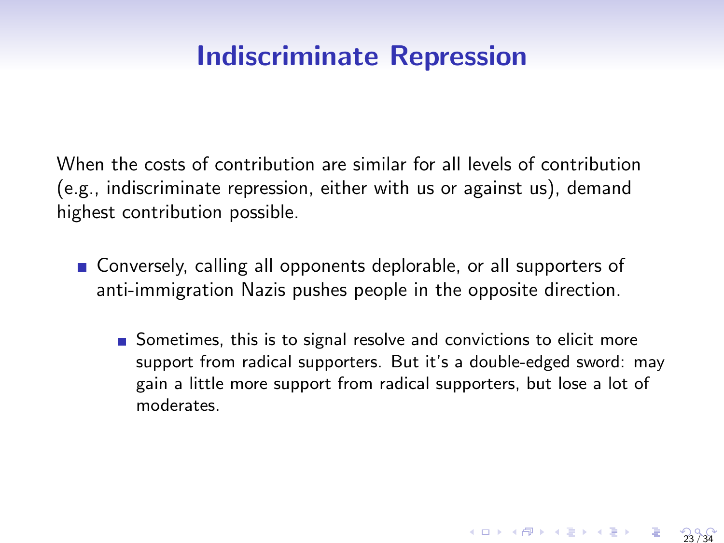## Indiscriminate Repression

When the costs of contribution are similar for all levels of contribution (e.g., indiscriminate repression, either with us or against us), demand highest contribution possible.

- **Conversely, calling all opponents deplorable, or all supporters of** anti-immigration Nazis pushes people in the opposite direction.
	- Sometimes, this is to signal resolve and convictions to elicit more support from radical supporters. But it's a double-edged sword: may gain a little more support from radical supporters, but lose a lot of moderates.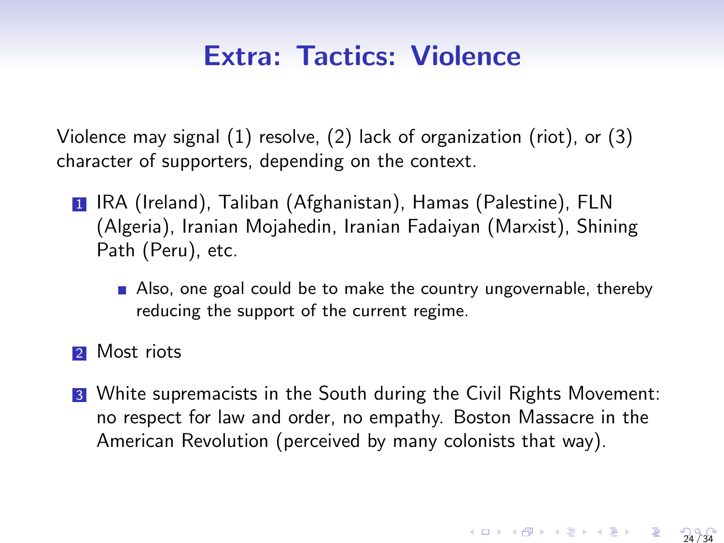### Extra: Tactics: Violence

Violence may signal (1) resolve, (2) lack of organization (riot), or (3) character of supporters, depending on the context.

- <sup>1</sup> IRA (Ireland), Taliban (Afghanistan), Hamas (Palestine), FLN (Algeria), Iranian Mojahedin, Iranian Fadaiyan (Marxist), Shining Path (Peru), etc.
	- Also, one goal could be to make the country ungovernable, thereby reducing the support of the current regime.
- 2 Most riots
- <sup>3</sup> White supremacists in the South during the Civil Rights Movement: no respect for law and order, no empathy. Boston Massacre in the American Revolution (perceived by many colonists that way).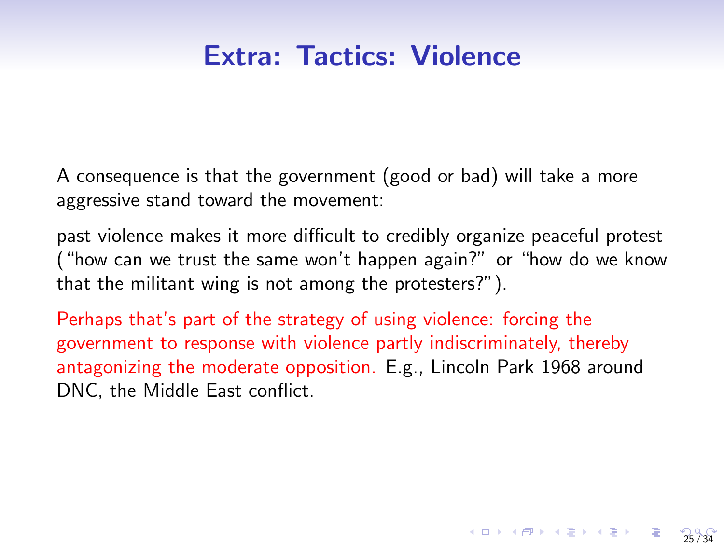## Extra: Tactics: Violence

A consequence is that the government (good or bad) will take a more aggressive stand toward the movement:

past violence makes it more difficult to credibly organize peaceful protest ("how can we trust the same won't happen again?" or "how do we know that the militant wing is not among the protesters?").

Perhaps that's part of the strategy of using violence: forcing the government to response with violence partly indiscriminately, thereby antagonizing the moderate opposition. E.g., Lincoln Park 1968 around DNC, the Middle East conflict.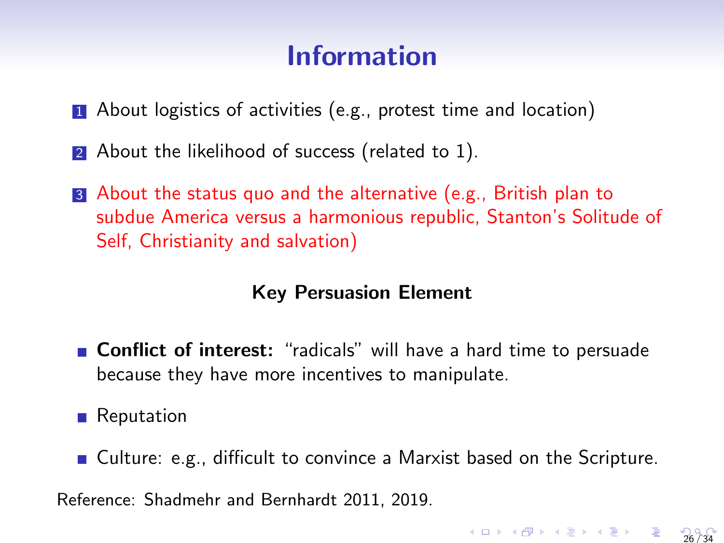## Information

- **1** About logistics of activities (e.g., protest time and location)
- 2 About the likelihood of success (related to 1).
- <sup>3</sup> About the status quo and the alternative (e.g., British plan to subdue America versus a harmonious republic, Stanton's Solitude of Self, Christianity and salvation)

#### Key Persuasion Element

**Conflict of interest:** "radicals" will have a hard time to persuade because they have more incentives to manipulate.

**Reputation** 

■ Culture: e.g., difficult to convince a Marxist based on the Scripture.

26 / 34

Reference: Shadmehr and Bernhardt 2011, 2019.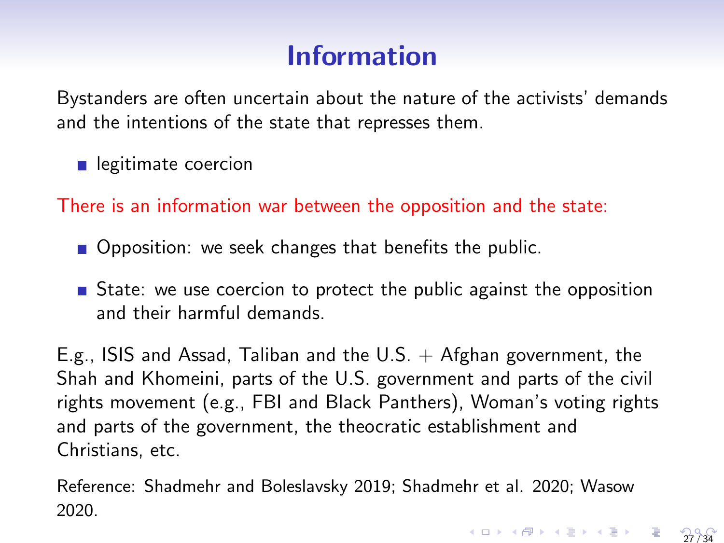# Information

Bystanders are often uncertain about the nature of the activists' demands and the intentions of the state that represses them.

elegitimate coercion

There is an information war between the opposition and the state:

- Opposition: we seek changes that benefits the public.
- State: we use coercion to protect the public against the opposition and their harmful demands.

E.g., ISIS and Assad, Taliban and the U.S.  $+$  Afghan government, the Shah and Khomeini, parts of the U.S. government and parts of the civil rights movement (e.g., FBI and Black Panthers), Woman's voting rights and parts of the government, the theocratic establishment and Christians, etc.

Reference: Shadmehr and Boleslavsky 2019; Shadmehr et al. 2020; Wasow 2020. 27 / 34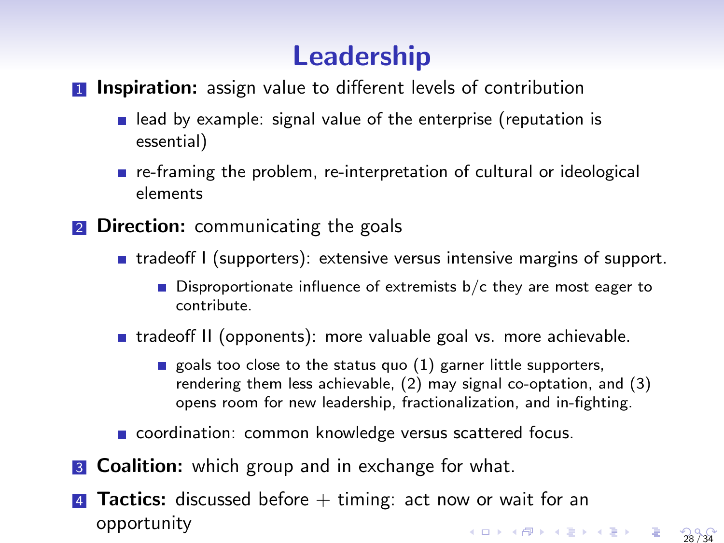# Leadership

#### **1 Inspiration:** assign value to different levels of contribution

- lead by example: signal value of the enterprise (reputation is essential)
- re-framing the problem, re-interpretation of cultural or ideological elements
- **2** Direction: communicating the goals
	- $\blacksquare$  tradeoff I (supporters): extensive versus intensive margins of support.
		- **Disproportionate influence of extremists b/c they are most eager to** contribute.
	- **tradeoff II (opponents): more valuable goal vs. more achievable.** 
		- goals too close to the status quo  $(1)$  garner little supporters, rendering them less achievable, (2) may signal co-optation, and (3) opens room for new leadership, fractionalization, and in-fighting.
	- coordination: common knowledge versus scattered focus.
- **3 Coalition:** which group and in exchange for what.
- **Tactics:** discussed before  $+$  timing: act now or wait for an opportunity 28 / 34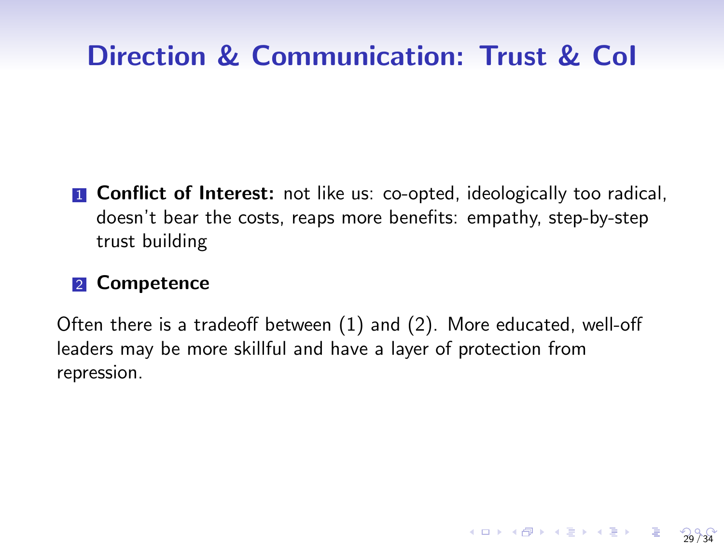# Direction & Communication: Trust & CoI

**1 Conflict of Interest:** not like us: co-opted, ideologically too radical, doesn't bear the costs, reaps more benefits: empathy, step-by-step trust building

#### 2 Competence

Often there is a tradeoff between (1) and (2). More educated, well-off leaders may be more skillful and have a layer of protection from repression.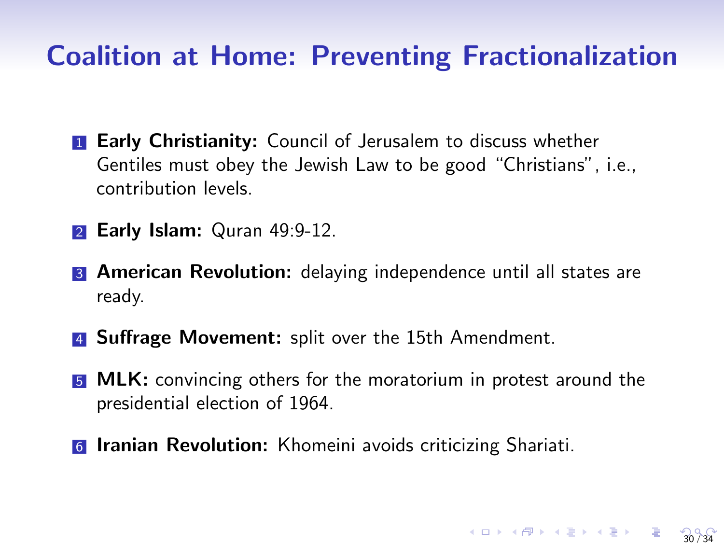#### Coalition at Home: Preventing Fractionalization

- **1 Early Christianity:** Council of Jerusalem to discuss whether Gentiles must obey the Jewish Law to be good "Christians", i.e., contribution levels.
- **2 Early Islam:** Quran 49:9-12.
- **3 American Revolution:** delaying independence until all states are ready.
- **4 Suffrage Movement:** split over the 15th Amendment.
- **5 MLK:** convincing others for the moratorium in protest around the presidential election of 1964.

30 / 34

**6 Iranian Revolution:** Khomeini avoids criticizing Shariati.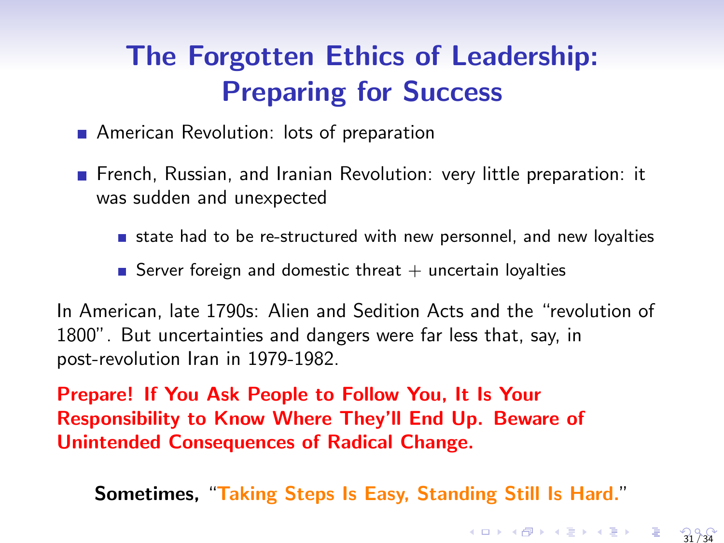# <span id="page-30-0"></span>The Forgotten Ethics of Leadership: Preparing for Success

- **American Revolution: lots of preparation**
- **French, Russian, and Iranian Revolution: very little preparation: it** was sudden and unexpected
	- state had to be re-structured with new personnel, and new loyalties
	- Server foreign and domestic threat  $+$  uncertain loyalties

In American, late 1790s: Alien and Sedition Acts and the "revolution of 1800". But uncertainties and dangers were far less that, say, in post-revolution Iran in 1979-1982.

Prepare! If You Ask People to Follow You, It Is Your Responsibility to Know Where They'll End Up. Beware of Unintended Consequences of Radical Change.

Sometimes, "Taking Steps Is Easy, Standing Still Is Hard."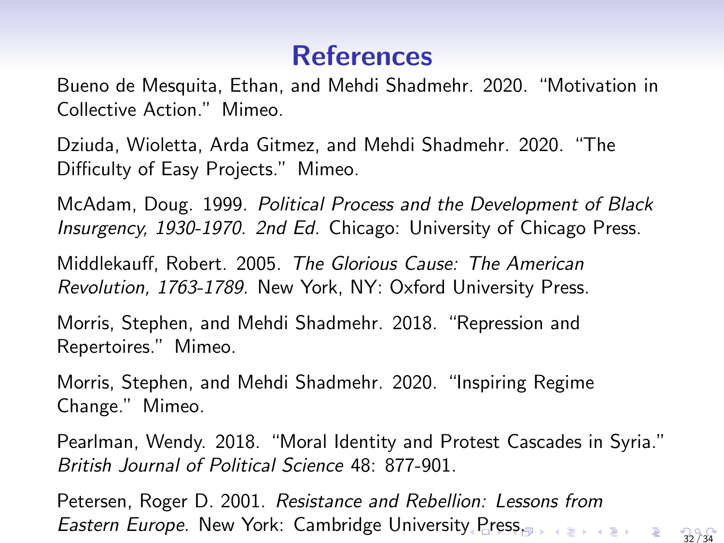# References

<span id="page-31-0"></span>Bueno de Mesquita, Ethan, and Mehdi Shadmehr. 2020. "Motivation in Collective Action." Mimeo.

Dziuda, Wioletta, Arda Gitmez, and Mehdi Shadmehr. 2020. "The Difficulty of Easy Projects." Mimeo.

McAdam, Doug. 1999. Political Process and the Development of Black Insurgency, 1930-1970. 2nd Ed. Chicago: University of Chicago Press.

Middlekauff, Robert. 2005. The Glorious Cause: The American Revolution, 1763-1789. New York, NY: Oxford University Press.

Morris, Stephen, and Mehdi Shadmehr. 2018. "Repression and Repertoires." Mimeo.

Morris, Stephen, and Mehdi Shadmehr. 2020. "Inspiring Regime Change." Mimeo.

Pearlman, Wendy. 2018. "Moral Identity and Protest Cascades in Syria." British Journal of Political Science 48: 877-901.

Petersen, Roger D. 2001. Resistance and Rebellion: Lessons from Eastern Europe. New York: Cambridge Universit[y P](#page-30-0)[re](#page-32-0)[ss](#page-30-0)<sub>treader</sub>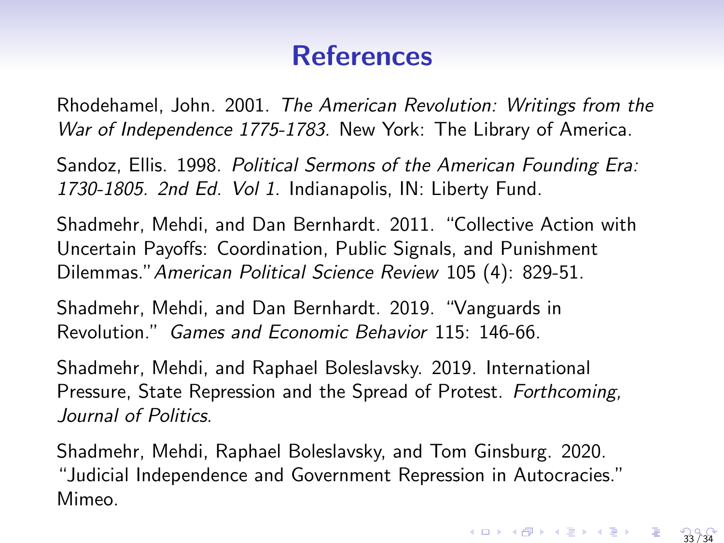# References

<span id="page-32-0"></span>Rhodehamel, John. 2001. The American Revolution: Writings from the War of Independence 1775-1783. New York: The Library of America.

Sandoz, Ellis. 1998. Political Sermons of the American Founding Era: 1730-1805. 2nd Ed. Vol 1. Indianapolis, IN: Liberty Fund.

Shadmehr, Mehdi, and Dan Bernhardt. 2011. "Collective Action with Uncertain Payoffs: Coordination, Public Signals, and Punishment Dilemmas."American Political Science Review 105 (4): 829-51.

Shadmehr, Mehdi, and Dan Bernhardt. 2019. "Vanguards in Revolution." Games and Economic Behavior 115: 146-66.

Shadmehr, Mehdi, and Raphael Boleslavsky. 2019. International Pressure, State Repression and the Spread of Protest. Forthcoming, Journal of Politics.

Shadmehr, Mehdi, Raphael Boleslavsky, and Tom Ginsburg. 2020. "Judicial Independence and Government Repression in Autocracies." Mimeo.